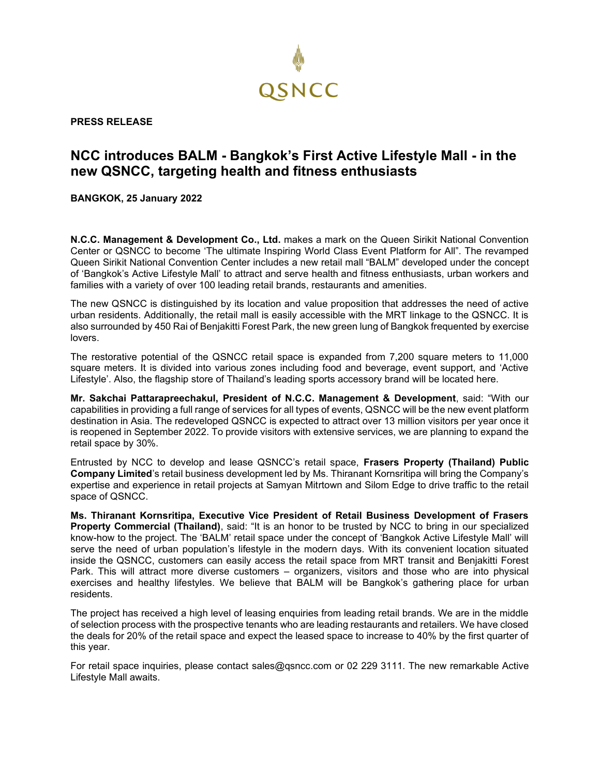

**PRESS RELEASE**

## **NCC introduces BALM - Bangkok's First Active Lifestyle Mall - in the new QSNCC, targeting health and fitness enthusiasts**

**BANGKOK, 25 January 2022**

**N.C.C. Management & Development Co., Ltd.** makes a mark on the Queen Sirikit National Convention Center or QSNCC to become 'The ultimate Inspiring World Class Event Platform for All". The revamped Queen Sirikit National Convention Center includes a new retail mall "BALM" developed under the concept of 'Bangkok's Active Lifestyle Mall' to attract and serve health and fitness enthusiasts, urban workers and families with a variety of over 100 leading retail brands, restaurants and amenities.

The new QSNCC is distinguished by its location and value proposition that addresses the need of active urban residents. Additionally, the retail mall is easily accessible with the MRT linkage to the QSNCC. It is also surrounded by 450 Rai of Benjakitti Forest Park, the new green lung of Bangkok frequented by exercise lovers.

The restorative potential of the QSNCC retail space is expanded from 7,200 square meters to 11,000 square meters. It is divided into various zones including food and beverage, event support, and 'Active Lifestyle'. Also, the flagship store of Thailand's leading sports accessory brand will be located here.

**Mr. Sakchai Pattarapreechakul, President of N.C.C. Management & Development**, said: "With our capabilities in providing a full range of services for all types of events, QSNCC will be the new event platform destination in Asia. The redeveloped QSNCC is expected to attract over 13 million visitors per year once it is reopened in September 2022. To provide visitors with extensive services, we are planning to expand the retail space by 30%.

Entrusted by NCC to develop and lease QSNCC's retail space, **Frasers Property (Thailand) Public Company Limited**'s retail business development led by Ms. Thiranant Kornsritipa will bring the Company's expertise and experience in retail projects at Samyan Mitrtown and Silom Edge to drive traffic to the retail space of QSNCC.

**Ms. Thiranant Kornsritipa, Executive Vice President of Retail Business Development of Frasers Property Commercial (Thailand)**, said: "It is an honor to be trusted by NCC to bring in our specialized know-how to the project. The 'BALM' retail space under the concept of 'Bangkok Active Lifestyle Mall' will serve the need of urban population's lifestyle in the modern days. With its convenient location situated inside the QSNCC, customers can easily access the retail space from MRT transit and Benjakitti Forest Park. This will attract more diverse customers – organizers, visitors and those who are into physical exercises and healthy lifestyles. We believe that BALM will be Bangkok's gathering place for urban residents.

The project has received a high level of leasing enquiries from leading retail brands. We are in the middle of selection process with the prospective tenants who are leading restaurants and retailers. We have closed the deals for 20% of the retail space and expect the leased space to increase to 40% by the first quarter of this year.

For retail space inquiries, please contact [sales@qsncc.com](mailto:sales@qsncc.com) or 02 229 3111. The new remarkable Active Lifestyle Mall awaits.